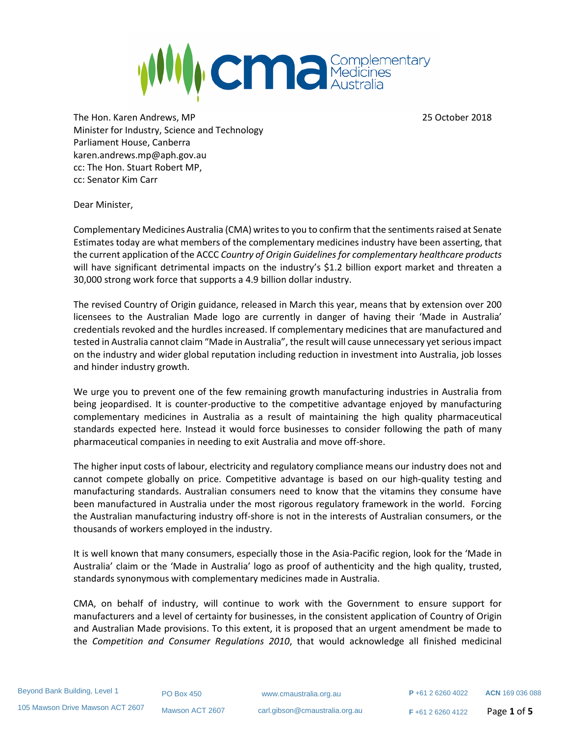

The Hon. Karen Andrews, MP 25 October 2018 Minister for Industry, Science and Technology Parliament House, Canberra karen.andrews.mp@aph.gov.au cc: The Hon. Stuart Robert MP, cc: Senator Kim Carr

Dear Minister,

Complementary Medicines Australia (CMA) writes to you to confirm that the sentiments raised at Senate Estimates today are what members of the complementary medicines industry have been asserting, that the current application of the ACCC *Country of Origin Guidelines for complementary healthcare products* will have significant detrimental impacts on the industry's \$1.2 billion export market and threaten a 30,000 strong work force that supports a 4.9 billion dollar industry.

The revised Country of Origin guidance, released in March this year, means that by extension over 200 licensees to the Australian Made logo are currently in danger of having their 'Made in Australia' credentials revoked and the hurdles increased. If complementary medicines that are manufactured and tested in Australia cannot claim "Made in Australia", the result will cause unnecessary yet serious impact on the industry and wider global reputation including reduction in investment into Australia, job losses and hinder industry growth.

We urge you to prevent one of the few remaining growth manufacturing industries in Australia from being jeopardised. It is counter-productive to the competitive advantage enjoyed by manufacturing complementary medicines in Australia as a result of maintaining the high quality pharmaceutical standards expected here. Instead it would force businesses to consider following the path of many pharmaceutical companies in needing to exit Australia and move off-shore.

The higher input costs of labour, electricity and regulatory compliance means our industry does not and cannot compete globally on price. Competitive advantage is based on our high-quality testing and manufacturing standards. Australian consumers need to know that the vitamins they consume have been manufactured in Australia under the most rigorous regulatory framework in the world. Forcing the Australian manufacturing industry off-shore is not in the interests of Australian consumers, or the thousands of workers employed in the industry.

It is well known that many consumers, especially those in the Asia-Pacific region, look for the 'Made in Australia' claim or the 'Made in Australia' logo as proof of authenticity and the high quality, trusted, standards synonymous with complementary medicines made in Australia.

CMA, on behalf of industry, will continue to work with the Government to ensure support for manufacturers and a level of certainty for businesses, in the consistent application of Country of Origin and Australian Made provisions. To this extent, it is proposed that an urgent amendment be made to the *Competition and Consumer Regulations 2010*, that would acknowledge all finished medicinal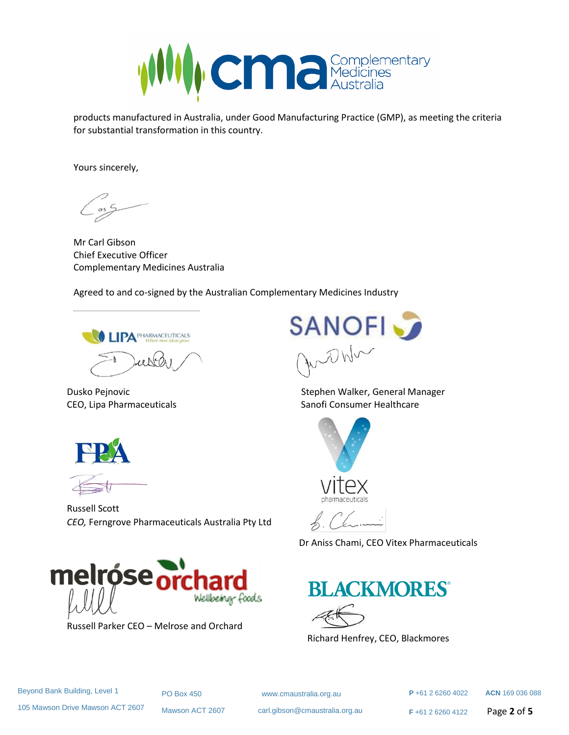

products manufactured in Australia, under Good Manufacturing Practice (GMP), as meeting the criteria for substantial transformation in this country.

Yours sincerely,

Mr Carl Gibson Chief Executive Officer Complementary Medicines Australia

Agreed to and co-signed by the Australian Complementary Medicines Industry

**LIPA** PHARMACEUTICALS



Russell Scott *CEO,* Ferngrove Pharmaceuticals Australia Pty Ltd



Dusko Pejnovic Stephen Walker, General Manager CEO, Lipa Pharmaceuticals **Sanofi Consumer Healthcare** Sanofi Consumer Healthcare



L Chani

Dr Aniss Chami, CEO Vitex Pharmaceuticals





Richard Henfrey, CEO, Blackmores

PO Box 450 www.cmaustralia.org.au

Mawson ACT 2607 carl.gibson@cmaustralia.org.au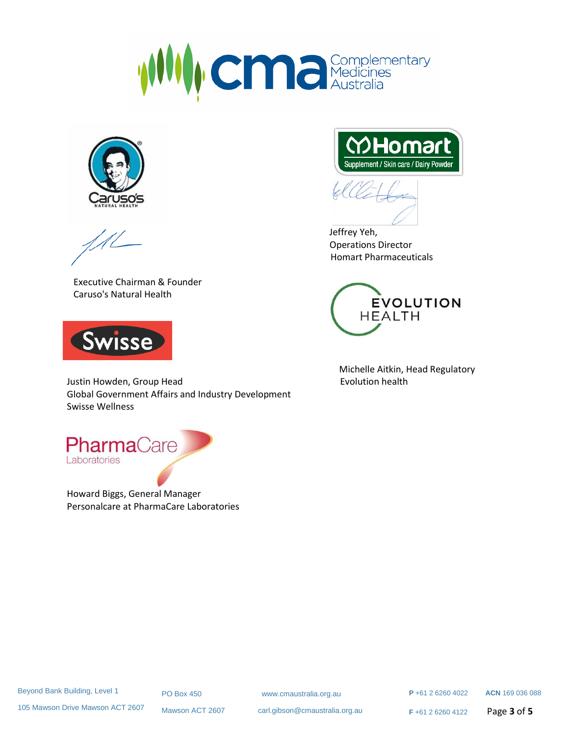



Executive Chairman & Founder Caruso's Natural Health



Justin Howden, Group Head **Evolution health** Global Government Affairs and Industry Development Swisse Wellness



Howard Biggs, General Manager Personalcare at PharmaCare Laboratories



 Jeffrey Yeh, Operations Director Homart Pharmaceuticals



Michelle Aitkin, Head Regulatory

 **P** +61 2 6260 4022 **ACN** 169 036 088

105 Mawson Drive Mawson ACT 2607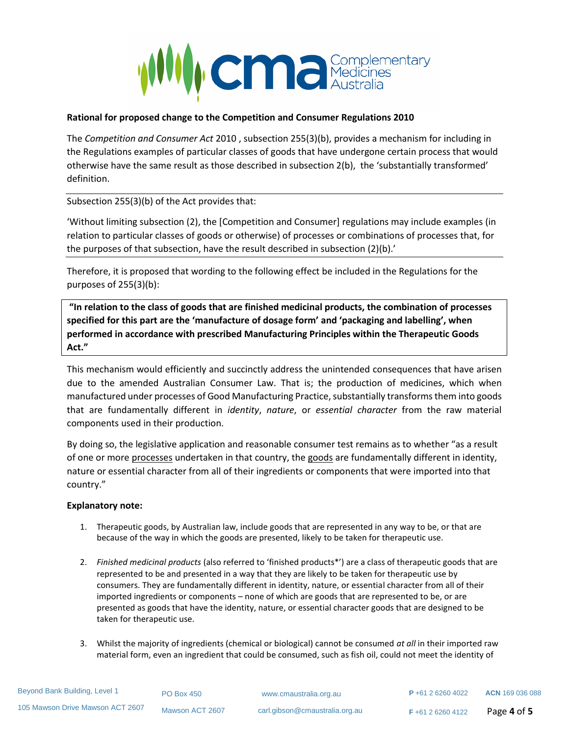

# **Rational for proposed change to the Competition and Consumer Regulations 2010**

The *Competition and Consumer Act* 2010 , subsection 255(3)(b), provides a mechanism for including in the Regulations examples of particular classes of goods that have undergone certain process that would otherwise have the same result as those described in subsection 2(b), the 'substantially transformed' definition.

Subsection 255(3)(b) of the Act provides that:

'Without limiting subsection (2), the [Competition and Consumer] regulations may include examples (in relation to particular classes of goods or otherwise) of processes or combinations of processes that, for the purposes of that subsection, have the result described in subsection (2)(b).'

Therefore, it is proposed that wording to the following effect be included in the Regulations for the purposes of 255(3)(b):

**"In relation to the class of goods that are finished medicinal products, the combination of processes specified for this part are the 'manufacture of dosage form' and 'packaging and labelling', when performed in accordance with prescribed Manufacturing Principles within the Therapeutic Goods Act."**

This mechanism would efficiently and succinctly address the unintended consequences that have arisen due to the amended Australian Consumer Law. That is; the production of medicines, which when manufactured under processes of Good Manufacturing Practice, substantially transforms them into goods that are fundamentally different in *identity*, *nature*, or *essential character* from the raw material components used in their production.

By doing so, the legislative application and reasonable consumer test remains as to whether "as a result of one or more processes undertaken in that country, the goods are fundamentally different in identity, nature or essential character from all of their ingredients or components that were imported into that country."

# **Explanatory note:**

- 1. Therapeutic goods, by Australian law, include goods that are represented in any way to be, or that are because of the way in which the goods are presented, likely to be taken for therapeutic use.
- 2. *Finished medicinal products* (also referred to 'finished products\*') are a class of therapeutic goods that are represented to be and presented in a way that they are likely to be taken for therapeutic use by consumers. They are fundamentally different in identity, nature, or essential character from all of their imported ingredients or components – none of which are goods that are represented to be, or are presented as goods that have the identity, nature, or essential character goods that are designed to be taken for therapeutic use.
- 3. Whilst the majority of ingredients (chemical or biological) cannot be consumed *at all* in their imported raw material form, even an ingredient that could be consumed, such as fish oil, could not meet the identity of